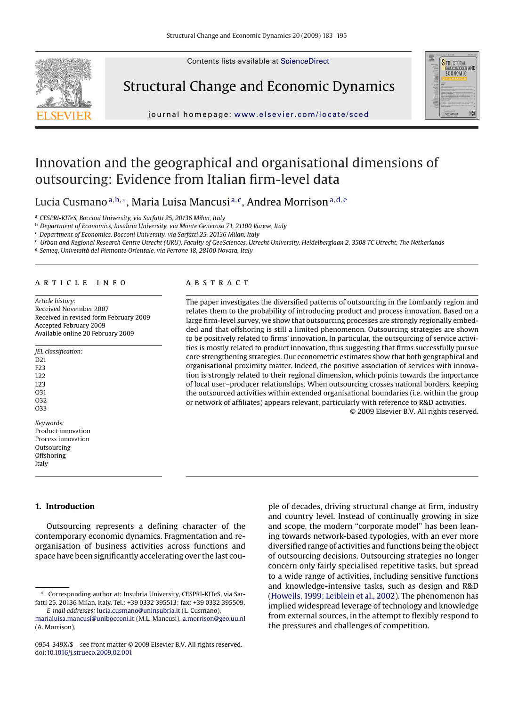Contents lists available at [ScienceDirect](http://www.sciencedirect.com/science/journal/0954349X)



Structural Change and Economic Dynamics



journal homepage: [www.elsevier.com/locate/sced](http://www.elsevier.com/locate/sced)

## Innovation and the geographical and organisational dimensions of outsourcing: Evidence from Italian firm-level data

Lucia Cusmano<sup>a, b,</sup>\*, Maria Luisa Mancusi<sup>a, c</sup>, Andrea Morrison<sup>a, d, e</sup>

<sup>a</sup> *CESPRI-KITeS, Bocconi University, via Sarfatti 25, 20136 Milan, Italy*

<sup>b</sup> *Department of Economics, Insubria University, via Monte Generoso 71, 21100 Varese, Italy*

<sup>c</sup> *Department of Economics, Bocconi University, via Sarfatti 25, 20136 Milan, Italy*

<sup>d</sup> *Urban and Regional Research Centre Utrecht (URU), Faculty of GeoSciences, Utrecht University, Heidelberglaan 2, 3508 TC Utrecht, The Netherlands*

<sup>e</sup> *Semeq, Università del Piemonte Orientale, via Perrone 18, 28100 Novara, Italy*

#### article info

*Article history:* Received November 2007 Received in revised form February 2009 Accepted February 2009 Available online 20 February 2009

| <i><b>IEL</b></i> classification: |
|-----------------------------------|
| D <sub>21</sub>                   |
| F <sub>2</sub> 3                  |
| 1.22                              |
| L <sub>23</sub>                   |
| O31                               |
| 032                               |
| O33                               |
| Keywords:                         |
| Product innovation                |
| Process innovation                |
| Outsourcing                       |
| Offshoring                        |
|                                   |
| Italy                             |

### **ABSTRACT**

The paper investigates the diversified patterns of outsourcing in the Lombardy region and relates them to the probability of introducing product and process innovation. Based on a large firm-level survey, we show that outsourcing processes are strongly regionally embedded and that offshoring is still a limited phenomenon. Outsourcing strategies are shown to be positively related to firms' innovation. In particular, the outsourcing of service activities is mostly related to product innovation, thus suggesting that firms successfully pursue core strengthening strategies. Our econometric estimates show that both geographical and organisational proximity matter. Indeed, the positive association of services with innovation is strongly related to their regional dimension, which points towards the importance of local user–producer relationships. When outsourcing crosses national borders, keeping the outsourced activities within extended organisational boundaries (i.e. within the group or network of affiliates) appears relevant, particularly with reference to R&D activities. © 2009 Elsevier B.V. All rights reserved.

**1. Introduction**

Outsourcing represents a defining character of the contemporary economic dynamics. Fragmentation and reorganisation of business activities across functions and space have been significantly accelerating over the last cou-

ple of decades, driving structural change at firm, industry and country level. Instead of continually growing in size and scope, the modern "corporate model" has been leaning towards network-based typologies, with an ever more diversified range of activities and functions being the object of outsourcing decisions. Outsourcing strategies no longer concern only fairly specialised repetitive tasks, but spread to a wide range of activities, including sensitive functions and knowledge-intensive tasks, such as design and R&D [\(Howells, 1999; Leiblein et al., 2002\).](#page--1-0) The phenomenon has implied widespread leverage of technology and knowledge from external sources, in the attempt to flexibly respond to the pressures and challenges of competition.

<sup>∗</sup> Corresponding author at: Insubria University, CESPRI-KITeS, via Sarfatti 25, 20136 Milan, Italy. Tel.: +39 0332 395513; fax: +39 0332 395509. *E-mail addresses:* [lucia.cusmano@uninsubria.it](mailto:lucia.cusmano@uninsubria.it) (L. Cusmano),

[marialuisa.mancusi@unibocconi.it](mailto:marialuisa.mancusi@unibocconi.it) (M.L. Mancusi), [a.morrison@geo.uu.nl](mailto:a.morrison@geo.uu.nl) (A. Morrison).

<sup>0954-349</sup>X/\$ – see front matter © 2009 Elsevier B.V. All rights reserved. doi:[10.1016/j.strueco.2009.02.001](dx.doi.org/10.1016/j.strueco.2009.02.001)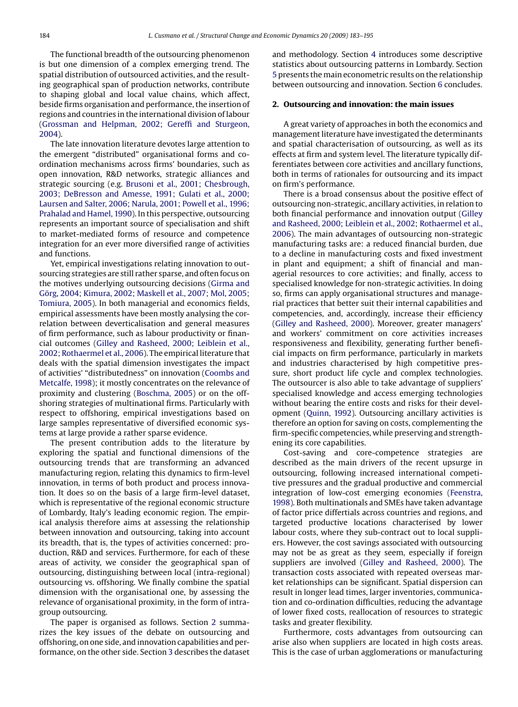The functional breadth of the outsourcing phenomenon is but one dimension of a complex emerging trend. The spatial distribution of outsourced activities, and the resulting geographical span of production networks, contribute to shaping global and local value chains, which affect, beside firms organisation and performance, the insertion of regions and countries in the international division of labour [\(Grossman and Helpman, 2002; Gereffi and Sturgeon,](#page--1-0) [2004\).](#page--1-0)

The late innovation literature devotes large attention to the emergent "distributed" organisational forms and coordination mechanisms across firms' boundaries, such as open innovation, R&D networks, strategic alliances and strategic sourcing (e.g. [Brusoni et al., 2001; Chesbrough,](#page--1-0) [2003; DeBresson and Amesse, 1991; Gulati et al., 2000;](#page--1-0) [Laursen and Salter, 2006; Narula, 2001; Powell et al., 1996;](#page--1-0) [Prahalad and Hamel, 1990\).](#page--1-0) In this perspective, outsourcing represents an important source of specialisation and shift to market-mediated forms of resource and competence integration for an ever more diversified range of activities and functions.

Yet, empirical investigations relating innovation to outsourcing strategies are still rather sparse, and often focus on the motives underlying outsourcing decisions ([Girma and](#page--1-0) [Görg, 2004; Kimura, 2002; Maskell et al., 2007; Mol, 2005;](#page--1-0) [Tomiura, 2005\).](#page--1-0) In both managerial and economics fields, empirical assessments have been mostly analysing the correlation between deverticalisation and general measures of firm performance, such as labour productivity or financial outcomes [\(Gilley and Rasheed, 2000; Leiblein et al.,](#page--1-0) [2002; Rothaermel et al., 2006\).](#page--1-0) The empirical literature that deals with the spatial dimension investigates the impact of activities' "distributedness" on innovation [\(Coombs and](#page--1-0) [Metcalfe, 1998\);](#page--1-0) it mostly concentrates on the relevance of proximity and clustering ([Boschma, 2005\)](#page--1-0) or on the offshoring strategies of multinational firms. Particularly with respect to offshoring, empirical investigations based on large samples representative of diversified economic systems at large provide a rather sparse evidence.

The present contribution adds to the literature by exploring the spatial and functional dimensions of the outsourcing trends that are transforming an advanced manufacturing region, relating this dynamics to firm-level innovation, in terms of both product and process innovation. It does so on the basis of a large firm-level dataset, which is representative of the regional economic structure of Lombardy, Italy's leading economic region. The empirical analysis therefore aims at assessing the relationship between innovation and outsourcing, taking into account its breadth, that is, the types of activities concerned: production, R&D and services. Furthermore, for each of these areas of activity, we consider the geographical span of outsourcing, distinguishing between local (intra-regional) outsourcing vs. offshoring. We finally combine the spatial dimension with the organisational one, by assessing the relevance of organisational proximity, in the form of intragroup outsourcing.

The paper is organised as follows. Section 2 summarizes the key issues of the debate on outsourcing and offshoring, on one side, and innovation capabilities and performance, on the other side. Section [3](#page--1-0) describes the dataset

and methodology. Section [4](#page--1-0) introduces some descriptive statistics about outsourcing patterns in Lombardy. Section [5](#page--1-0) presents the main econometric results on the relationship between outsourcing and innovation. Section [6](#page--1-0) concludes.

### **2. Outsourcing and innovation: the main issues**

A great variety of approaches in both the economics and management literature have investigated the determinants and spatial characterisation of outsourcing, as well as its effects at firm and system level. The literature typically differentiates between core activities and ancillary functions, both in terms of rationales for outsourcing and its impact on firm's performance.

There is a broad consensus about the positive effect of outsourcing non-strategic, ancillary activities, in relation to both financial performance and innovation output [\(Gilley](#page--1-0) [and Rasheed, 2000; Leiblein et al., 2002;](#page--1-0) [Rothaermel et al.,](#page--1-0) [2006\).](#page--1-0) The main advantages of outsourcing non-strategic manufacturing tasks are: a reduced financial burden, due to a decline in manufacturing costs and fixed investment in plant and equipment; a shift of financial and managerial resources to core activities; and finally, access to specialised knowledge for non-strategic activities. In doing so, firms can apply organisational structures and managerial practices that better suit their internal capabilities and competencies, and, accordingly, increase their efficiency [\(Gilley and Rasheed, 2000\).](#page--1-0) Moreover, greater managers' and workers' commitment on core activities increases responsiveness and flexibility, generating further beneficial impacts on firm performance, particularly in markets and industries characterised by high competitive pressure, short product life cycle and complex technologies. The outsourcer is also able to take advantage of suppliers' specialised knowledge and access emerging technologies without bearing the entire costs and risks for their development [\(Quinn, 1992\).](#page--1-0) Outsourcing ancillary activities is therefore an option for saving on costs, complementing the firm-specific competencies, while preserving and strengthening its core capabilities.

Cost-saving and core-competence strategies are described as the main drivers of the recent upsurge in outsourcing, following increased international competitive pressures and the gradual productive and commercial integration of low-cost emerging economies [\(Feenstra,](#page--1-0) [1998\).](#page--1-0) Both multinationals and SMEs have taken advantage of factor price differtials across countries and regions, and targeted productive locations characterised by lower labour costs, where they sub-contract out to local suppliers. However, the cost savings associated with outsourcing may not be as great as they seem, especially if foreign suppliers are involved ([Gilley and Rasheed, 2000\).](#page--1-0) The transaction costs associated with repeated overseas market relationships can be significant. Spatial dispersion can result in longer lead times, larger inventories, communication and co-ordination difficulties, reducing the advantage of lower fixed costs, reallocation of resources to strategic tasks and greater flexibility.

Furthermore, costs advantages from outsourcing can arise also when suppliers are located in high costs areas. This is the case of urban agglomerations or manufacturing